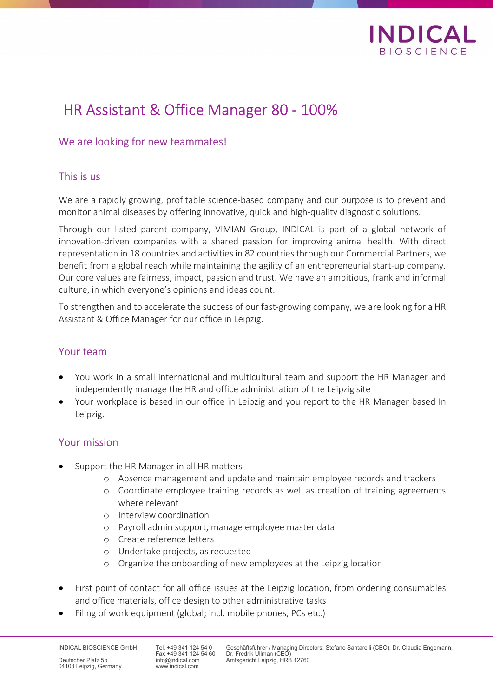

# HR Assistant & Office Manager 80 - 100%

## We are looking for new teammates!

#### This is us

We are a rapidly growing, profitable science-based company and our purpose is to prevent and monitor animal diseases by offering innovative, quick and high-quality diagnostic solutions.

Through our listed parent company, VIMIAN Group, INDICAL is part of a global network of innovation-driven companies with a shared passion for improving animal health. With direct representation in 18 countries and activities in 82 countries through our Commercial Partners, we benefit from a global reach while maintaining the agility of an entrepreneurial start-up company. Our core values are fairness, impact, passion and trust. We have an ambitious, frank and informal culture, in which everyone's opinions and ideas count.

To strengthen and to accelerate the success of our fast-growing company, we are looking for a HR Assistant & Office Manager for our office in Leipzig.

#### Your team

- You work in a small international and multicultural team and support the HR Manager and independently manage the HR and office administration of the Leipzig site
- Your workplace is based in our office in Leipzig and you report to the HR Manager based In Leipzig.

## Your mission

- Support the HR Manager in all HR matters
	- o Absence management and update and maintain employee records and trackers
	- o Coordinate employee training records as well as creation of training agreements where relevant
	- o Interview coordination
	- o Payroll admin support, manage employee master data
	- o Create reference letters
	- o Undertake projects, as requested
	- o Organize the onboarding of new employees at the Leipzig location
- First point of contact for all office issues at the Leipzig location, from ordering consumables and office materials, office design to other administrative tasks
- Filing of work equipment (global; incl. mobile phones, PCs etc.)